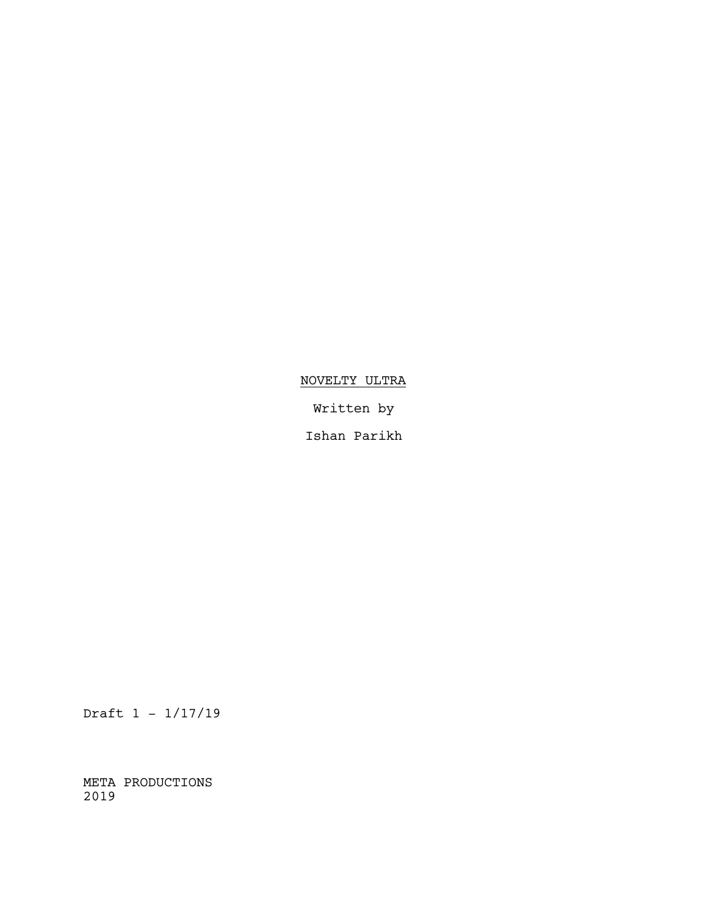# NOVELTY ULTRA

Written by

Ishan Parikh

Draft 1 - 1/17/19

META PRODUCTIONS 2019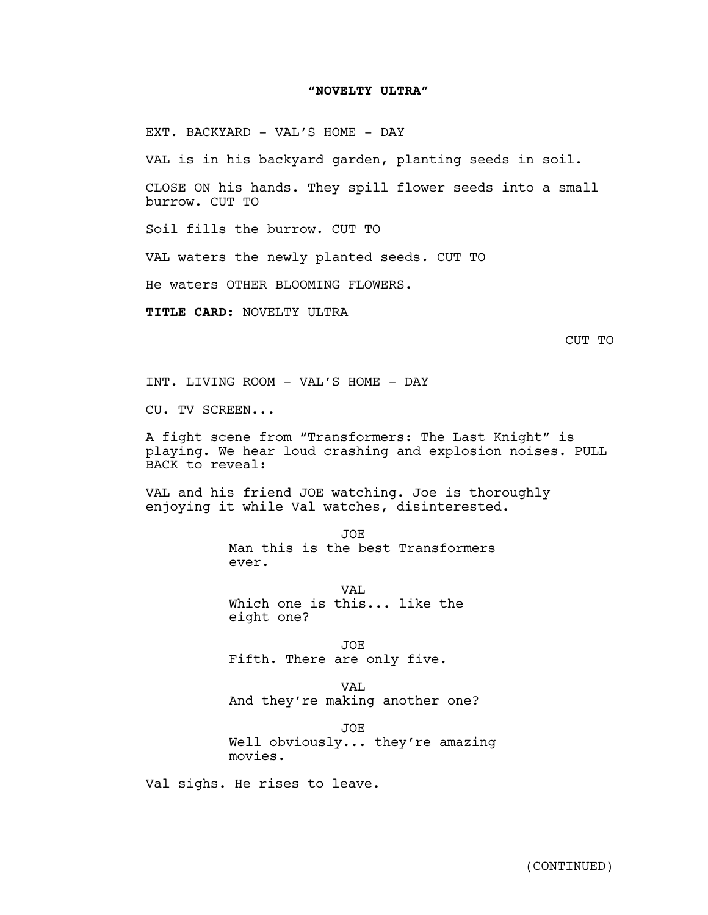## **"NOVELTY ULTRA"**

EXT. BACKYARD - VAL'S HOME - DAY

VAL is in his backyard garden, planting seeds in soil.

CLOSE ON his hands. They spill flower seeds into a small burrow. CUT TO

Soil fills the burrow. CUT TO

VAL waters the newly planted seeds. CUT TO

He waters OTHER BLOOMING FLOWERS.

**TITLE CARD**: NOVELTY ULTRA

INT. LIVING ROOM - VAL'S HOME - DAY

CU. TV SCREEN...

A fight scene from "Transformers: The Last Knight" is playing. We hear loud crashing and explosion noises. PULL BACK to reveal:

VAL and his friend JOE watching. Joe is thoroughly enjoying it while Val watches, disinterested.

> JOE Man this is the best Transformers ever.

VAL. Which one is this... like the eight one?

JOE Fifth. There are only five.

VAL And they're making another one?

JOE Well obviously... they're amazing movies.

Val sighs. He rises to leave.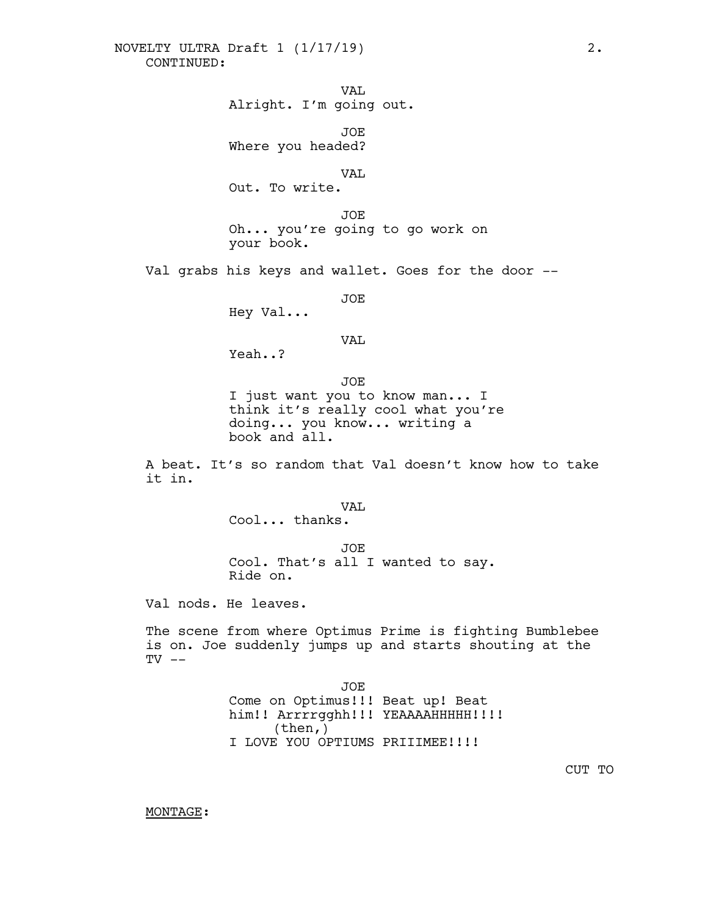VAL Alright. I'm going out.

JOE Where you headed?

VAL

Out. To write.

JOE Oh... you're going to go work on your book.

Val grabs his keys and wallet. Goes for the door --

JOE

Hey Val...

VAL

Yeah..?

JOE I just want you to know man... I think it's really cool what you're doing... you know... writing a book and all.

A beat. It's so random that Val doesn't know how to take it in.

VAL

Cool... thanks.

JOE Cool. That's all <sup>I</sup> wanted to say. Ride on.

Val nods. He leaves.

The scene from where Optimus Prime is fighting Bumblebee is on. Joe suddenly jumps up and starts shouting at the  $TV$   $--$ 

> JOE Come on Optimus!!! Beat up! Beat him!! Arrrrgghh!!! YEAAAAHHHHH!!!! (then,) I LOVE YOU OPTIUMS PRIIIMEE!!!!

> > CUT TO

MONTAGE: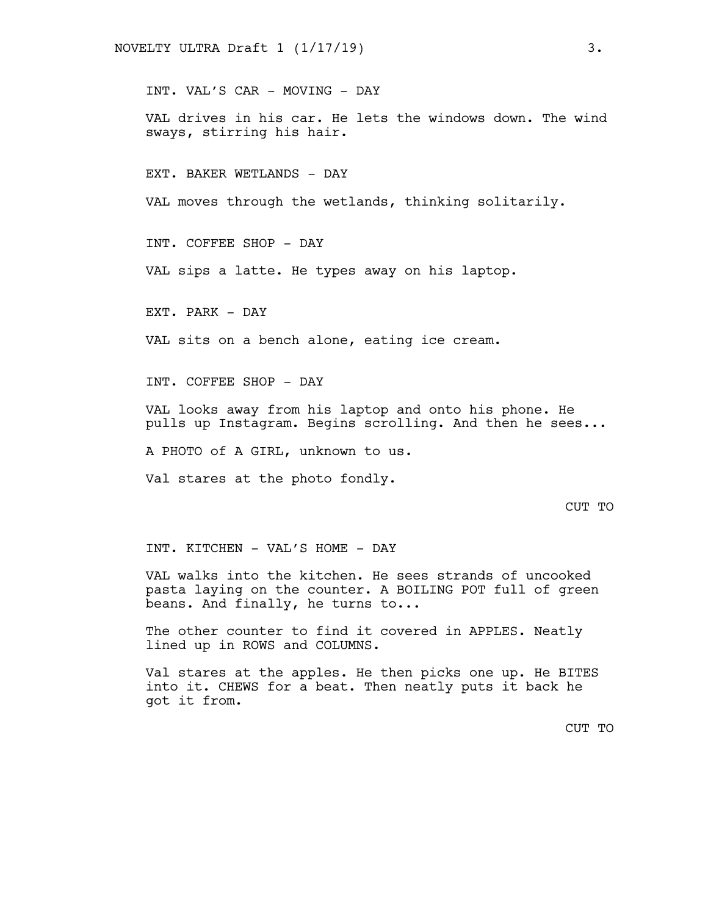INT. VAL'S CAR - MOVING - DAY

VAL drives in his car. He lets the windows down. The wind sways, stirring his hair.

EXT. BAKER WETLANDS - DAY

VAL moves through the wetlands, thinking solitarily.

INT. COFFEE SHOP - DAY

VAL sips a latte. He types away on his laptop.

EXT. PARK - DAY

VAL sits on a bench alone, eating ice cream.

INT. COFFEE SHOP - DAY

VAL looks away from his laptop and onto his phone. He pulls up Instagram. Begins scrolling. And then he sees...

A PHOTO of A GIRL, unknown to us.

Val stares at the photo fondly.

## CUT TO

INT. KITCHEN - VAL'S HOME - DAY

VAL walks into the kitchen. He sees strands of uncooked pasta laying on the counter. A BOILING POT full of green beans. And finally, he turns to...

The other counter to find it covered in APPLES. Neatly lined up in ROWS and COLUMNS.

Val stares at the apples. He then picks one up. He BITES into it. CHEWS for a beat. Then neatly puts it back he got it from.

CUT TO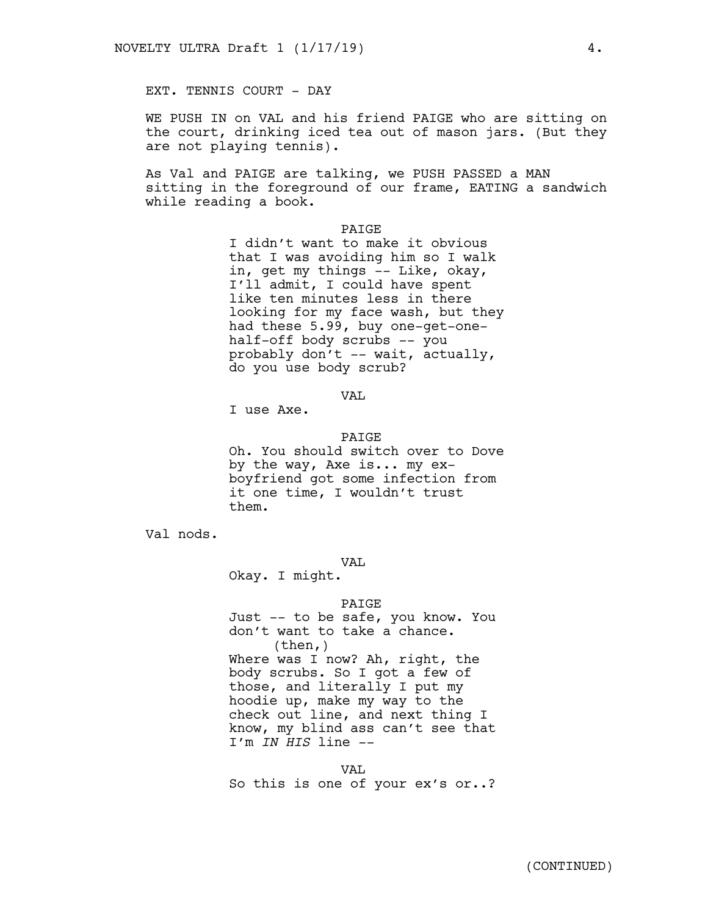EXT. TENNIS COURT - DAY

WE PUSH IN on VAL and his friend PAIGE who are sitting on the court, drinking iced tea out of mason jars. (But they are not playing tennis).

As Val and PAIGE are talking, we PUSH PASSED a MAN sitting in the foreground of our frame, EATING a sandwich while reading a book.

## PAIGE

I didn't want to make it obvious that I was avoiding him so I walk in, get my things -- Like, okay, I'll admit, I could have spent like ten minutes less in there looking for my face wash, but they had these 5.99, buy one-get-onehalf-off body scrubs -- you probably don't -- wait, actually, do you use body scrub?

VAL

I use Axe.

#### **PATGE**

Oh. You should switch over to Dove by the way, Axe is... my exboyfriend got some infection from it one time, I wouldn't trust them.

Val nods.

VAL

Okay. I might.

#### PAIGE

Just -- to be safe, you know. You don't want to take a chance.<br>(then,) Where was I now? Ah, right, the body scrubs. So I got a few of those, and literally I put my hoodie up, make my way to the check out line, and next thing I know, my blind ass can't see that I'm *IN HIS* line --

VAL So this is one of your ex's or..?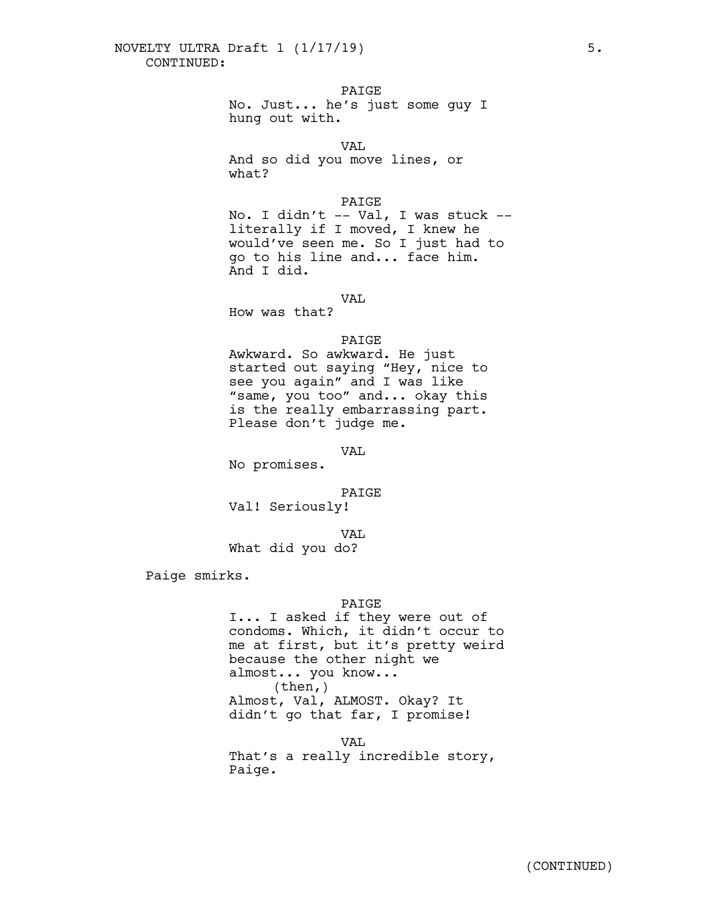PAIGE

No. Just... he's just some guy I hung out with.

VAL

And so did you move lines, or what?

## PAIGE

No. I didn't -- Val, I was stuck - literally if I moved, I knew he would've seen me. So I just had to go to his line and... face him. And I did.

VAL

How was that?

## PAIGE

Awkward. So awkward. He just started out saying "Hey, nice to see you again" and I was like "same, you too" and... okay this is the really embarrassing part. Please don't judge me.

VAL

No promises.

## PAIGE

Val! Seriously!

VAL

What did you do?

Paige smirks.

## PAIGE

I... I asked if they were out of condoms. Which, it didn't occur to me at first, but it's pretty weird because the other night we almost... you know...<br>(then,) Almost, Val, ALMOST. Okay? It didn't go that far, I promise!

VAL

That's a really incredible story, Paige.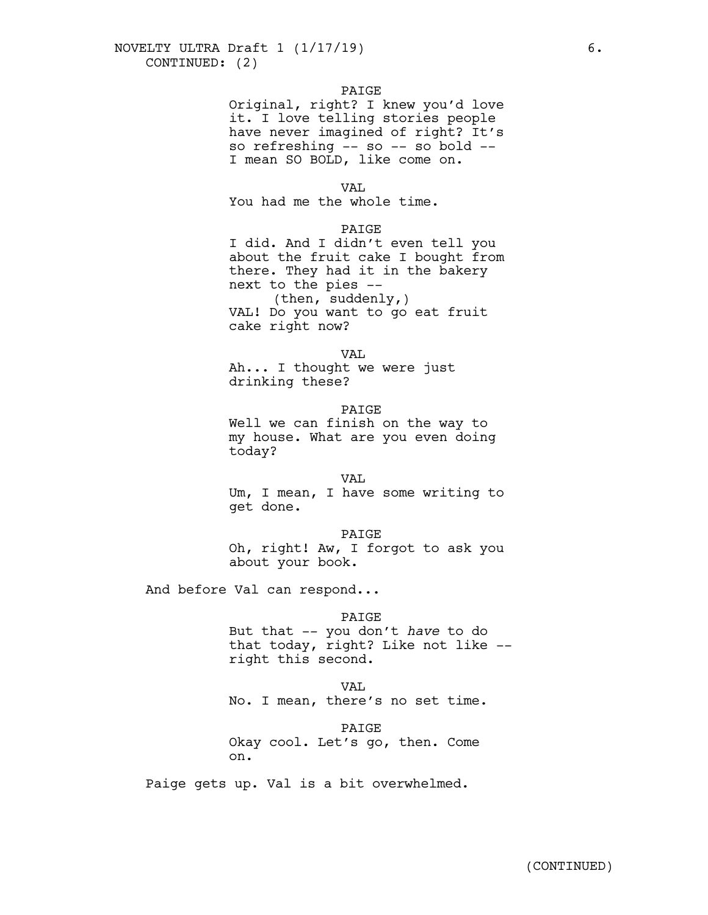## PAIGE

Original, right? I knew you'd love it. I love telling stories people have never imagined of right? It's so refreshing -- so -- so bold -- I mean SO BOLD, like come on.

#### VAL.

You had me the whole time.

## PAIGE

I did. And I didn't even tell you about the fruit cake I bought from there. They had it in the bakery next to the pies -- (then, suddenly,) VAL! Do you want to go eat fruit cake right now?

#### VAL

Ah... I thought we were just drinking these?

#### PAIGE

Well we can finish on the way to my house. What are you even doing today?

VAL

Um, I mean, I have some writing to get done.

#### PAIGE

Oh, right! Aw, I forgot to ask you about your book.

And before Val can respond...

## PAIGE

But that -- you don't *have* to do that today, right? Like not like --<br>right this second.

#### VAL

No. I mean, there's no set time.

## PAIGE

Okay cool. Let's go, then. Come on.

Paige gets up. Val is a bit overwhelmed.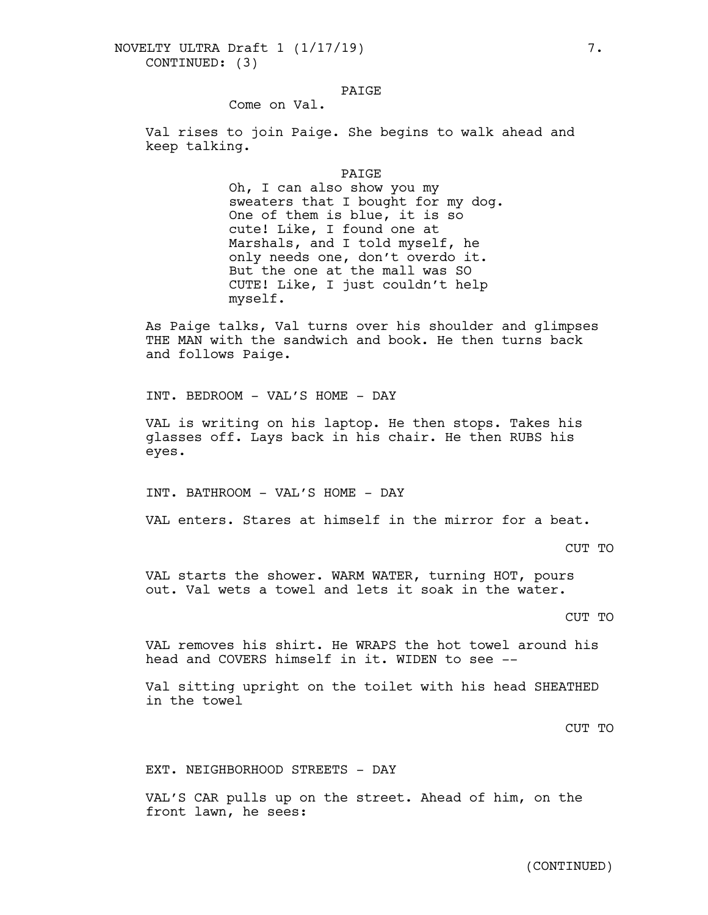## PAIGE

Come on Val.

Val rises to join Paige. She begins to walk ahead and keep talking.

#### PAIGE

Oh, I can also show you my sweaters that I bought for my dog. One of them is blue, it is so cute! Like, I found one at Marshals, and I told myself, he only needs one, don't overdo it. But the one at the mall was SO CUTE! Like, I just couldn't help myself.

As Paige talks, Val turns over his shoulder and glimpses THE MAN with the sandwich and book. He then turns back and follows Paige.

INT. BEDROOM - VAL'S HOME - DAY

VAL is writing on his laptop. He then stops. Takes his glasses off. Lays back in his chair. He then RUBS his eyes.

INT. BATHROOM - VAL'S HOME - DAY

VAL enters. Stares at himself in the mirror for a beat.

CUT TO

VAL starts the shower. WARM WATER, turning HOT, pours out. Val wets a towel and lets it soak in the water.

## CUT TO

VAL removes his shirt. He WRAPS the hot towel around his head and COVERS himself in it. WIDEN to see --

Val sitting upright on the toilet with his head SHEATHED in the towel

CUT TO

EXT. NEIGHBORHOOD STREETS - DAY

VAL'S CAR pulls up on the street. Ahead of him, on the front lawn, he sees: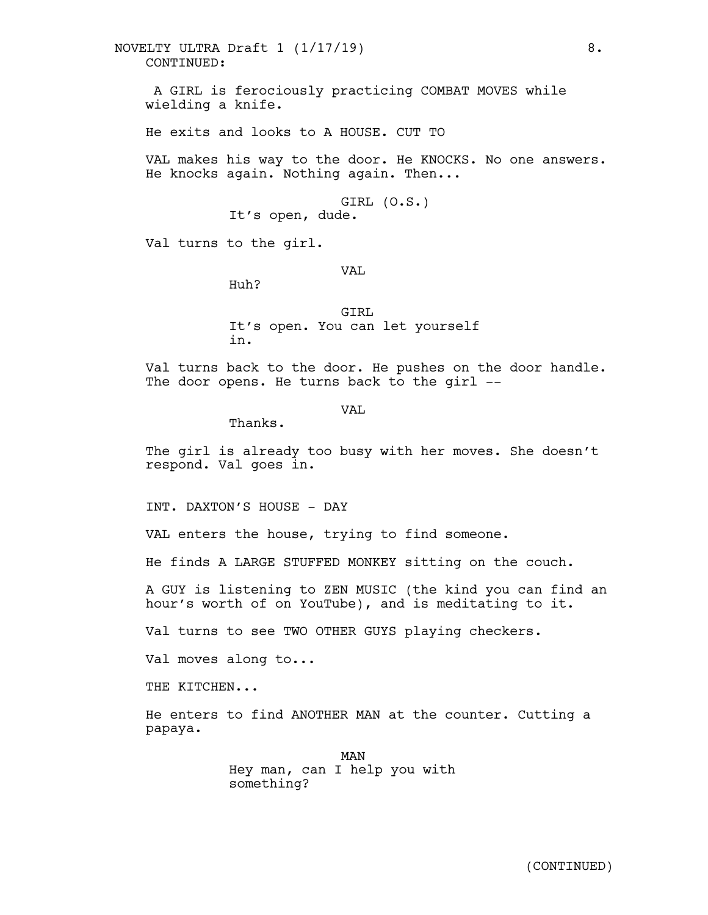CONTINUED: NOVELTY ULTRA Draft 1 (1/17/19) 8.

A GIRL is ferociously practicing COMBAT MOVES while wielding a knife.

He exits and looks to A HOUSE. CUT TO

VAL makes his way to the door. He KNOCKS. No one answers. He knocks again. Nothing again. Then...

> GIRL (O.S.) It's open, dude.

Val turns to the girl.

VAL

Huh?

GIRL It's open. You can let yourself in.

Val turns back to the door. He pushes on the door handle. The door opens. He turns back to the girl --

VAL.

Thanks.

The girl is already too busy with her moves. She doesn't respond. Val goes in.

INT. DAXTON'S HOUSE - DAY

VAL enters the house, trying to find someone.

He finds A LARGE STUFFED MONKEY sitting on the couch.

A GUY is listening to ZEN MUSIC (the kind you can find an hour's worth of on YouTube), and is meditating to it.

Val turns to see TWO OTHER GUYS playing checkers.

Val moves along to...

THE KITCHEN...

He enters to find ANOTHER MAN at the counter. Cutting a papaya.

> MAN Hey man, can I help you with something?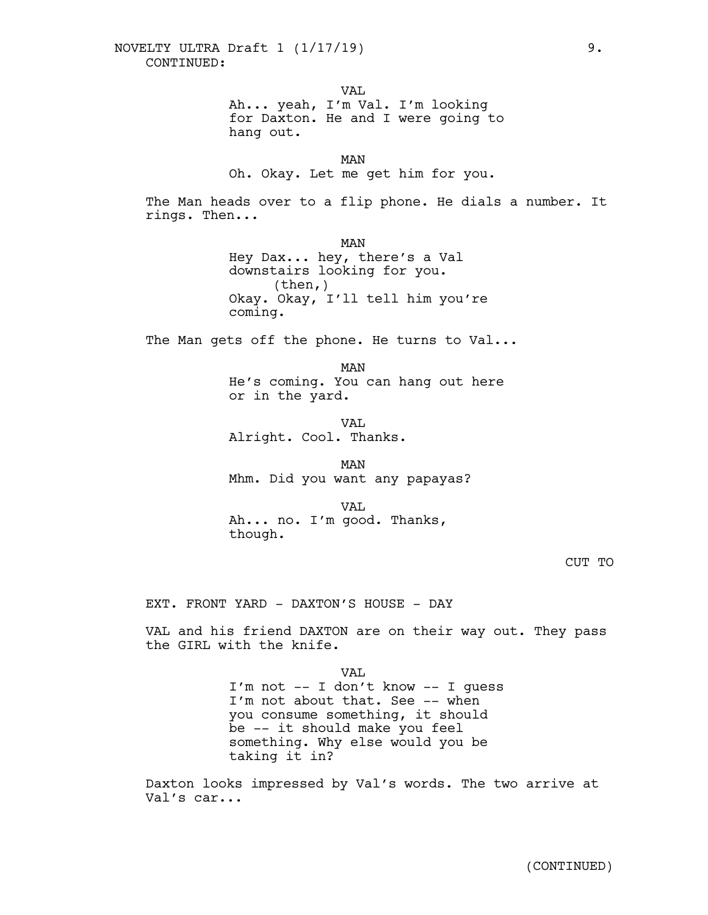VAL

Ah... yeah, I'm Val. I'm looking for Daxton. He and I were going to hang out.

MAN Oh. Okay. Let me get him for you.

The Man heads over to a flip phone. He dials a number. It rings. Then...

> MAN Hey Dax... hey, there's a Val downstairs looking for you. (then,) Okay. Okay, I'll tell him you're coming.

The Man gets off the phone. He turns to Val...

MAN He's coming. You can hang out here or in the yard.

VAL Alright. Cool. Thanks.

MAN Mhm. Did you want any papayas?

VAL Ah... no. I'm good. Thanks, though.

CUT TO

EXT. FRONT YARD - DAXTON'S HOUSE - DAY

VAL and his friend DAXTON are on their way out. They pass the GIRL with the knife.

> VAL I'm not -- I don't know -- I guess I'm not about that. See -- when you consume something, it should be -- it should make you feel something. Why else would you be taking it in?

Daxton looks impressed by Val's words. The two arrive at Val's car...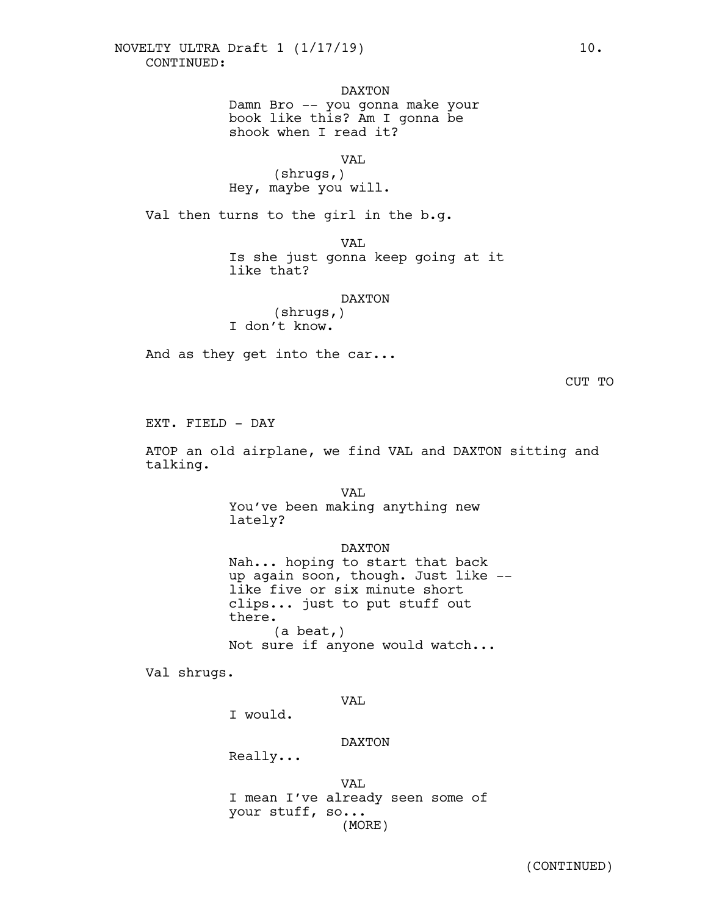DAXTON

Damn Bro -- you gonna make your book like this? Am I gonna be shook when I read it?

VAL.

(shrugs,) Hey, maybe you will.

Val then turns to the girl in the b.g.

VAL

Is she just gonna keep going at it like that?

## DAXTON

(shrugs,) I don't know.

And as they get into the car...

CUT TO

EXT. FIELD - DAY

ATOP an old airplane, we find VAL and DAXTON sitting and talking.

> VAL. You've been making anything new lately?

DAXTON Nah... hoping to start that back up again soon, though. Just like --<br>like five or six minute short clips... just to put stuff out there. (a beat,) Not sure if anyone would watch...

Val shrugs.

VAL

I would.

DAXTON

Really...

VAL I mean I've already seen some of your stuff, so... (MORE)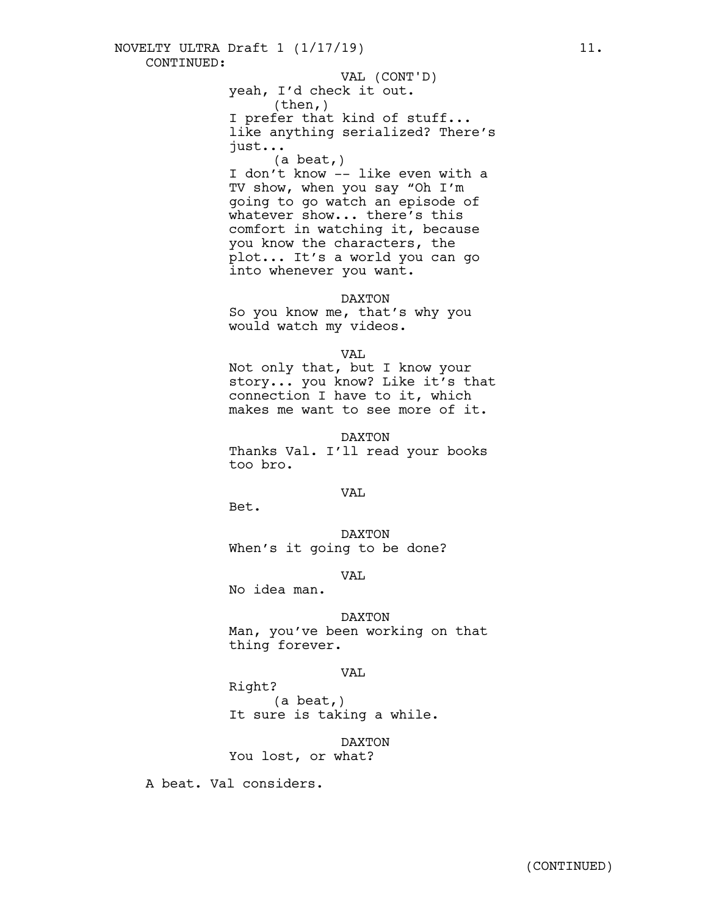(then,) I prefer that kind of stuff... like anything serialized? There's just...

(a beat,)

I don't know -- like even with a TV show, when you say "Oh I'm going to go watch an episode of whatever show... there's this comfort in watching it, because you know the characters, the plot... It's a world you can go into whenever you want.

## DAXTON

So you know me, that's why you would watch my videos.

VAL

Not only that, but I know your story... you know? Like it's that connection I have to it, which makes me want to see more of it.

DAXTON

Thanks Val. I'll read your books too bro.

VAL.

Bet.

DAXTON When's it going to be done?

VAL

No idea man.

DAXTON Man, you've been working on that thing forever.

VAL

Right? (a beat,) It sure is taking a while.

DAXTON

You lost, or what?

A beat. Val considers.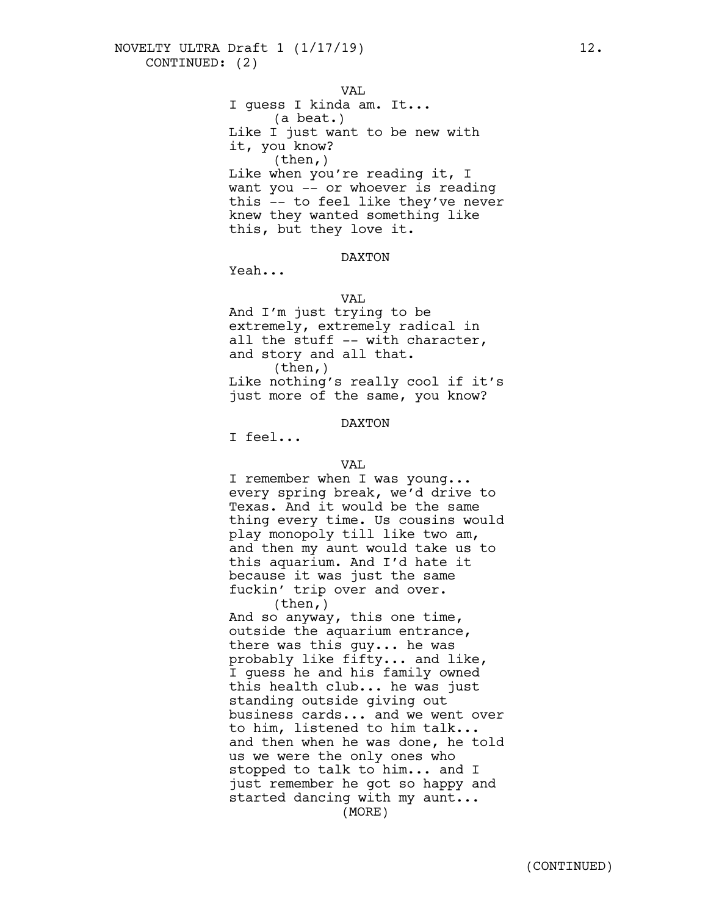VAL I guess I kinda am. It... (a beat.) Like I just want to be new with it, you know? (then,) Like when you're reading it, I want you -- or whoever is reading this -- to feel like they've never knew they wanted something like this, but they love it.

DAXTON

Yeah...

#### VAL

And I'm just trying to be extremely, extremely radical in all the stuff -- with character, and story and all that.  $(then, )$ Like nothing's really cool if it's just more of the same, you know?

DAXTON

I feel...

VAL<br>I remember when I was young... every spring break, we'd drive to Texas. And it would be the same thing every time. Us cousins would play monopoly till like two am,<br>and then my aunt would take us to this aquarium. And I'd hate it because it was just the same fuckin' trip over and over.<br>(then,)

And so anyway, this one time,<br>outside the aquarium entrance,<br>there was this guy... he was probably like fifty... and like, <sup>I</sup> guess he and his family owned this health club... he was just standing outside giving out business cards... and we went over to him, listened to him talk... and then when he was done, he told us we were the only ones who stopped to talk to him... and I just remember he got so happy and started dancing with my aunt... (MORE)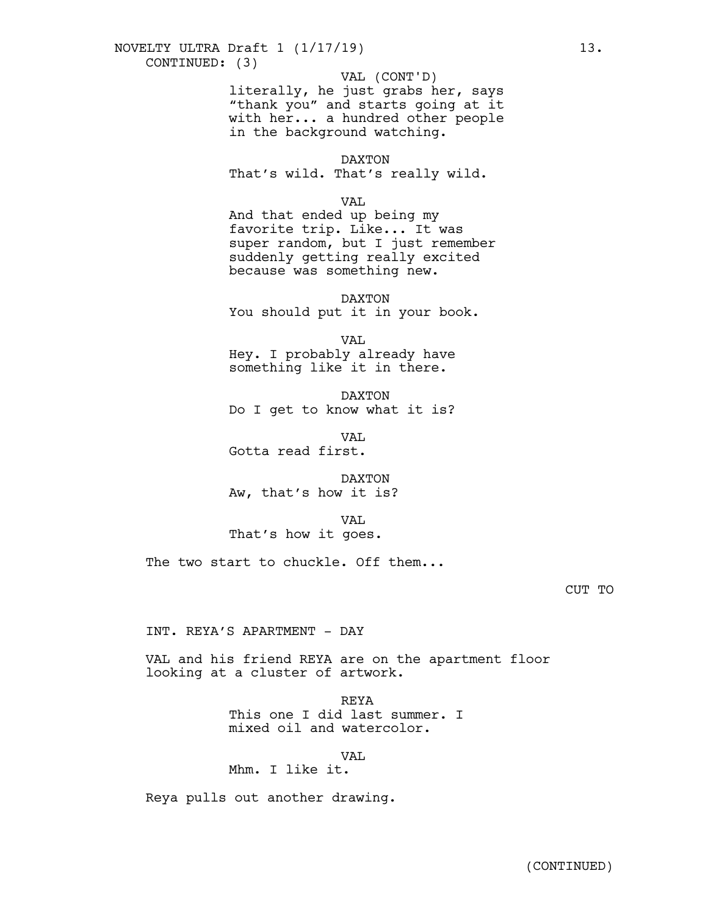## CONTINUED: (3) NOVELTY ULTRA Draft 1 (1/17/19) 13.

VAL (CONT'D)

literally, he just grabs her, says "thank you" and starts going at it with her... a hundred other people in the background watching.

DAXTON

That's wild. That's really wild.

VAL

And that ended up being my favorite trip. Like... It was super random, but I just remember suddenly getting really excited because was something new.

DAXTON You should put it in your book.

VAL Hey. I probably already have something like it in there.

DAXTON Do I get to know what it is?

VAL. Gotta read first.

DAXTON Aw, that's how it is?

VAL That's how it goes.

The two start to chuckle. Off them...

INT. REYA'S APARTMENT - DAY

VAL and his friend REYA are on the apartment floor looking at a cluster of artwork.

> REYA This one I did last summer. I mixed oil and watercolor.

> > VAL

Mhm. I like it.

Reya pulls out another drawing.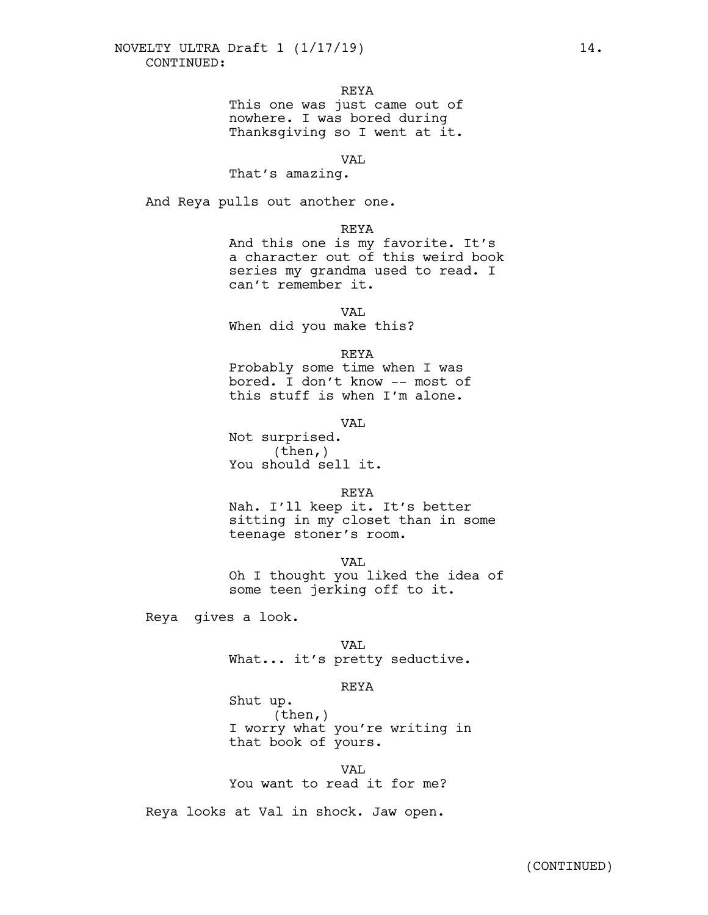REYA

This one was just came out of nowhere. I was bored during Thanksgiving so I went at it.

VAL

That's amazing.

And Reya pulls out another one.

REYA

And this one is my favorite. It's a character out of this weird book series my grandma used to read. I can't remember it.

VAL

When did you make this?

REYA

Probably some time when I was bored. I don't know -- most of this stuff is when I'm alone.

VAL

Not surprised. (then,) You should sell it.

REYA

Nah. I'll keep it. It's better sitting in my closet than in some teenage stoner's room.

VAL Oh I thought you liked the idea of some teen jerking off to it.

Reya gives a look.

Shut up.

VAL.

What... it's pretty seductive.

REYA

(then,) I worry what you're writing in that book of yours.

VAL. You want to read it for me?

Reya looks at Val in shock. Jaw open.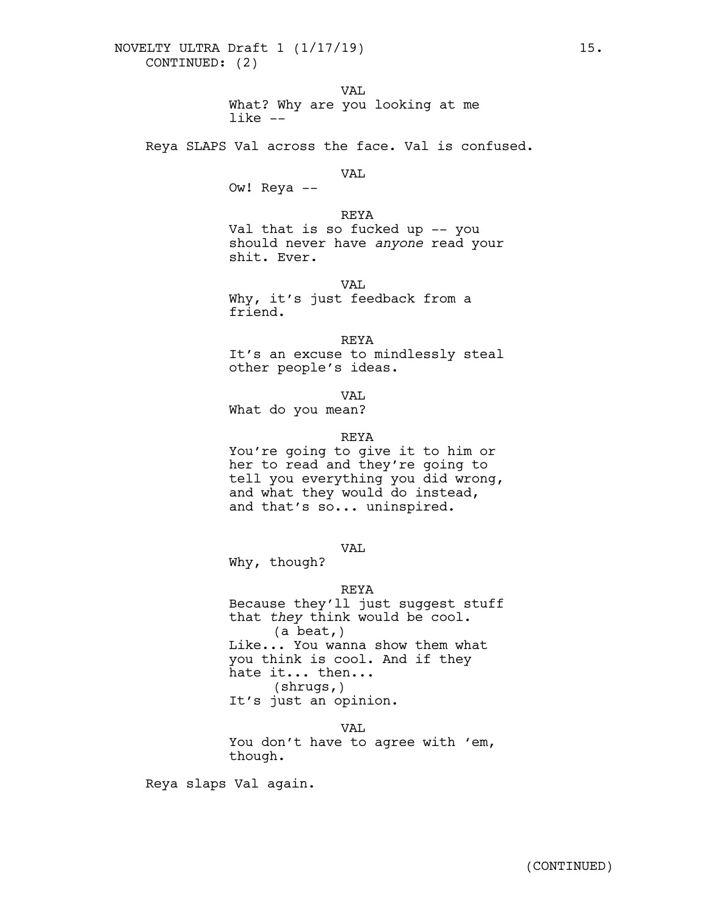VAL What? Why are you looking at me like --

Reya SLAPS Val across the face. Val is confused.

## VAL

Ow! Reya --

## REYA

Val that is so fucked up -- you should never have *anyone* read your shit. Ever.

VAL.

Why, it's just feedback from a friend.

REYA

It's an excuse to mindlessly steal other people's ideas.

VAL

What do you mean?

## REYA

You're going to give it to him or her to read and they're going to tell you everything you did wrong,<br>and what they would do instead,<br>and that's so... uninspired.

VAL

Why, though?

## REYA

Because they'll just suggest stuff that *they* think would be cool. (a beat,) Like... You wanna show them what you think is cool. And if they hate it... then...<br>(shrugs,) It's just an opinion.

VAL You don't have to agree with 'em, though.

Reya slaps Val again.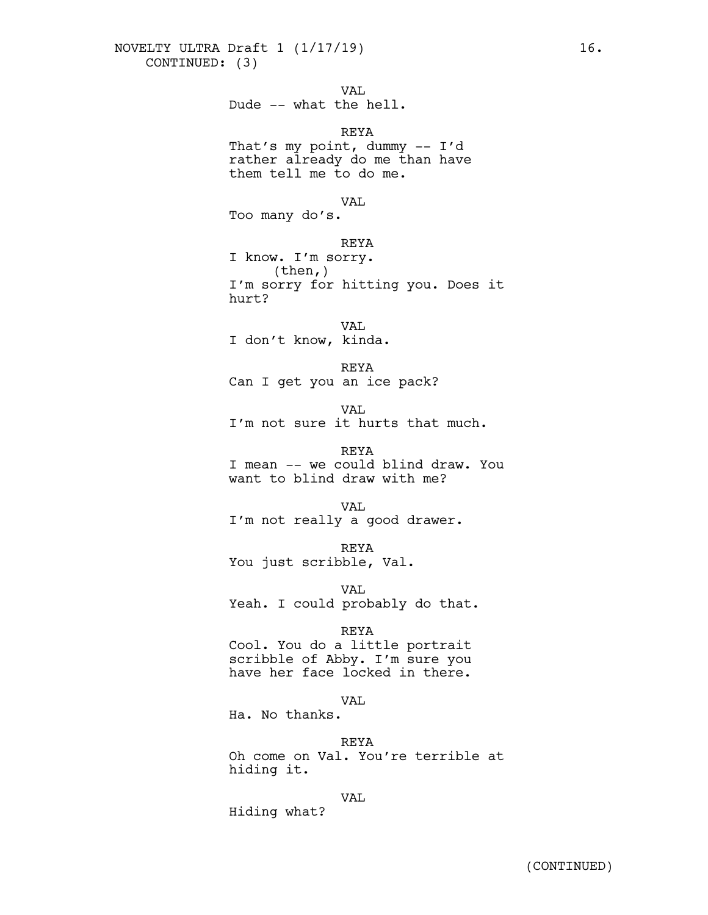VAL

## Dude -- what the hell.

## REYA

That's my point, dummy -- I'd rather already do me than have them tell me to do me.

#### VAL

Too many do's.

#### REYA

I know. I'm sorry. (then,) I'm sorry for hitting you. Does it hurt?

VAL I don't know, kinda.

REYA Can I get you an ice pack?

VAL.

I'm not sure it hurts that much.

REYA

I mean -- we could blind draw. You want to blind draw with me?

VAL

I'm not really a good drawer.

REYA

You just scribble, Val.

VAL Yeah. I could probably do that.

#### REYA

Cool. You do a little portrait scribble of Abby. I'm sure you have her face locked in there.

## VAL

Ha. No thanks.

#### REYA

Oh come on Val. You're terrible at hiding it.

VAL

Hiding what?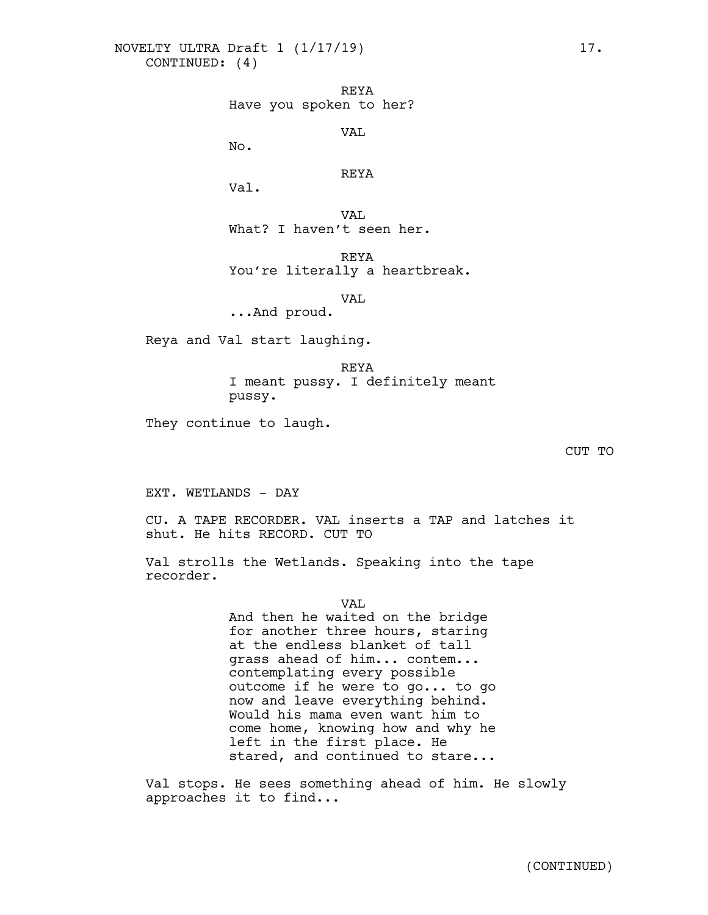REYA Have you spoken to her?

VAL

No.

## REYA

Val.

VAL. What? I haven't seen her.

REYA You're literally a heartbreak.

VAL

...And proud.

Reya and Val start laughing.

REYA I meant pussy. I definitely meant pussy.

They continue to laugh.

CUT TO

EXT. WETLANDS - DAY

CU. A TAPE RECORDER. VAL inserts a TAP and latches it shut. He hits RECORD. CUT TO

Val strolls the Wetlands. Speaking into the tape recorder.

VAL

And then he waited on the bridge for another three hours, staring at the endless blanket of tall grass ahead of him... contem...<br>contemplating every possible outcome if he were to go... to go now and leave everything behind. Would his mama even want him to come home, knowing how and why he left in the first place. He stared, and continued to stare...

Val stops. He sees something ahead of him. He slowly approaches it to find...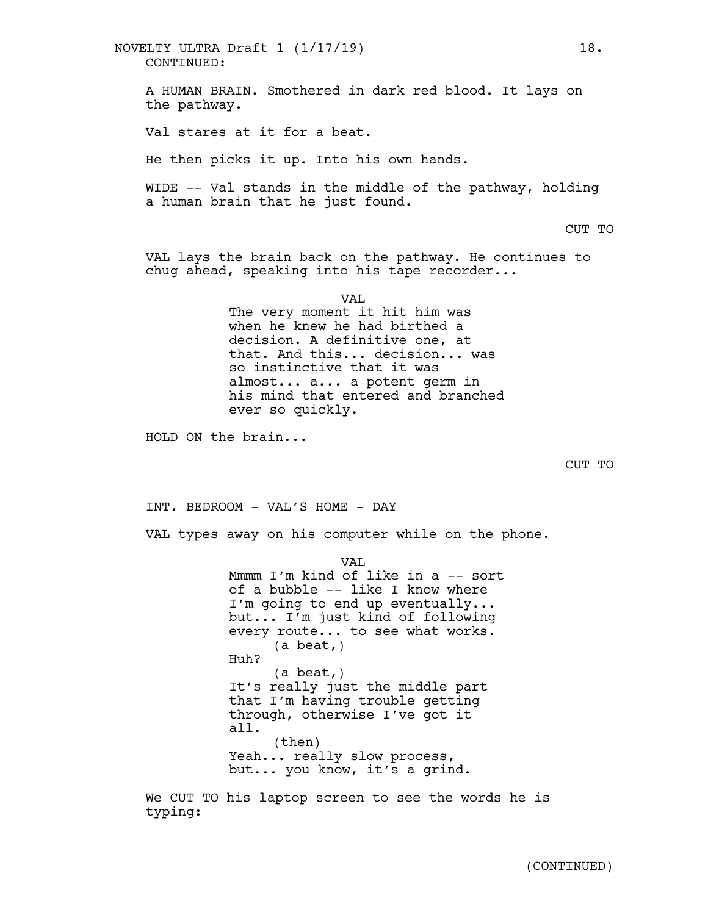A HUMAN BRAIN. Smothered in dark red blood. It lays on the pathway. Val stares at it for a beat. He then picks it up. Into his own hands. WIDE -- Val stands in the middle of the pathway, holding a human brain that he just found. CUT TO VAL lays the brain back on the pathway. He continues to chug ahead, speaking into his tape recorder... VAL The very moment it hit him was when he knew he had birthed a decision. A definitive one, at that. And this... decision... was so instinctive that it was almost... a... a potent germ in his mind that entered and branched ever so quickly. HOLD ON the brain... CUT TO INT. BEDROOM - VAL'S HOME - DAY CONTINUED: NOVELTY ULTRA Draft 1 (1/17/19) 18.

VAL types away on his computer while on the phone.

VAL. Mmmm I'm kind of like in a -- sort of a bubble -- like I know where I'm going to end up eventually... but... I'm just kind of following every route... to see what works.<br>(a beat,) Huh? (a beat,) It's really just the middle part that I'm having trouble getting through, otherwise I've got it all. (then) Yeah... really slow process, but... you know, it's a grind.

We CUT TO his laptop screen to see the words he is typing: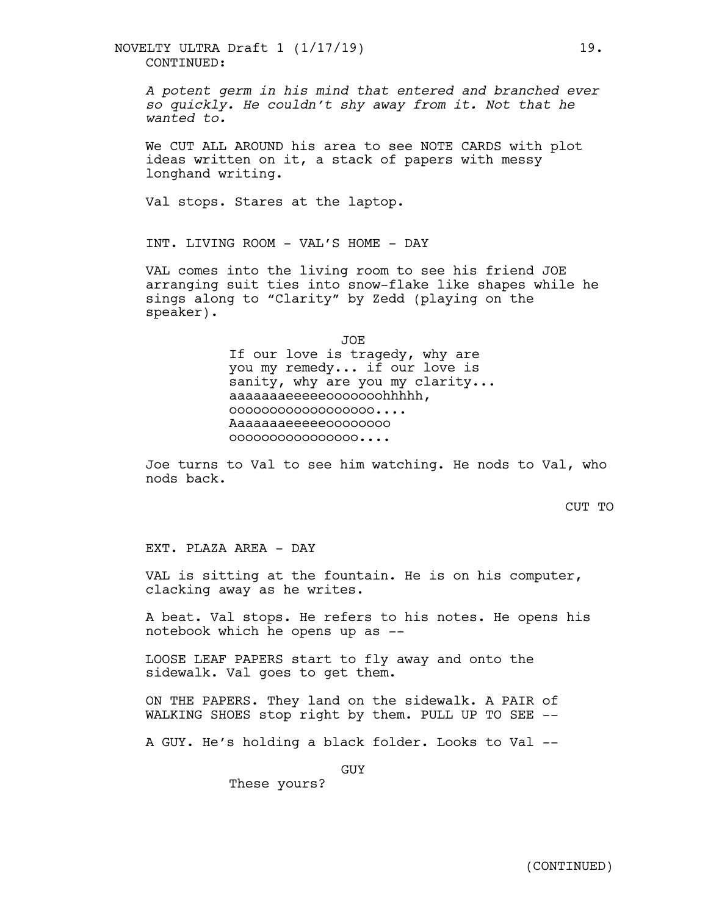CONTINUED: NOVELTY ULTRA Draft 1 (1/17/19) 19.

*A potent germ in his mind that entered and branched ever so quickly. He couldn't shy away from it. Not that he wanted to.*

We CUT ALL AROUND his area to see NOTE CARDS with plot ideas written on it, a stack of papers with messy longhand writing.

Val stops. Stares at the laptop.

INT. LIVING ROOM - VAL'S HOME - DAY

VAL comes into the living room to see his friend JOE arranging suit ties into snow-flake like shapes while he sings along to "Clarity" by Zedd (playing on the speaker).

JOE

If our love is tragedy, why are you my remedy... if our love is sanity, why are you my clarity... aaaaaaaeeeeeooooooohhhhh, oooooooooooooooooo.... Aaaaaaaeeeeeoooooooo oooooooooooooooo....

Joe turns to Val to see him watching. He nods to Val, who nods back.

CUT TO

EXT. PLAZA AREA - DAY

VAL is sitting at the fountain. He is on his computer, clacking away as he writes.

A beat. Val stops. He refers to his notes. He opens his notebook which he opens up as --

LOOSE LEAF PAPERS start to fly away and onto the sidewalk. Val goes to get them.

ON THE PAPERS. They land on the sidewalk. A PAIR of WALKING SHOES stop right by them. PULL UP TO SEE --

A GUY. He's holding a black folder. Looks to Val --

GUY

These yours?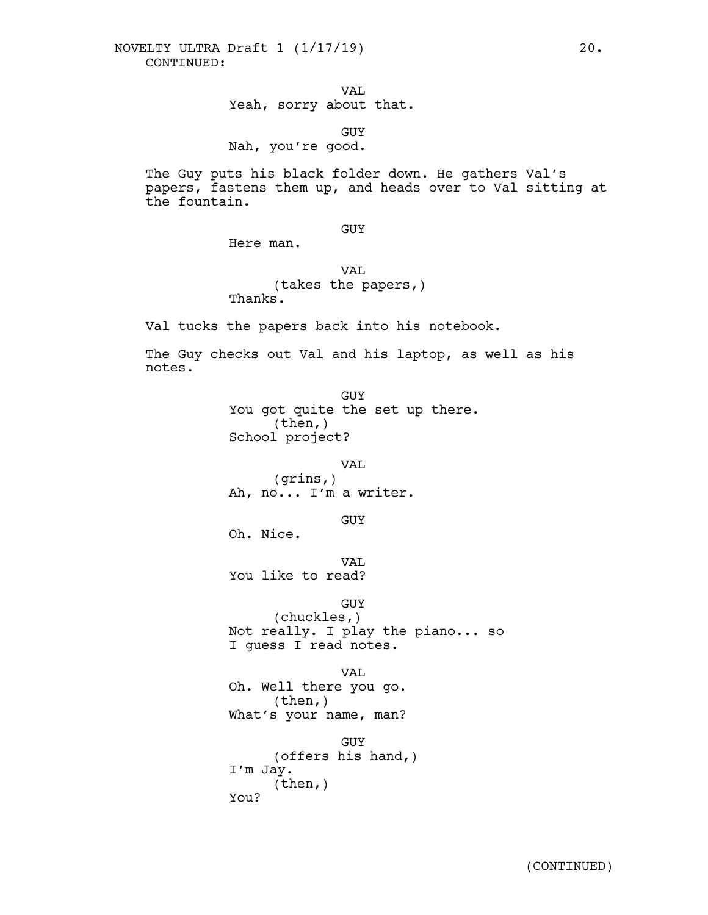VAL Yeah, sorry about that.

GUY Nah, you're good.

The Guy puts his black folder down. He gathers Val's papers, fastens them up, and heads over to Val sitting at the fountain.

## GUY

Here man.

VAL (takes the papers,) Thanks.

Val tucks the papers back into his notebook.

The Guy checks out Val and his laptop, as well as his notes.

> GUY You got quite the set up there. (then,) School project?

> > VAL

(grins,) Ah, no... I'm a writer.

GUY

Oh. Nice.

VAL.

You like to read?

GUY

(chuckles,) Not really. I play the piano... so I guess I read notes.

VAL

Oh. Well there you go.<br>(then,) What's your name, man?

GUY (offers his hand,) I'm Jay. (then,) You?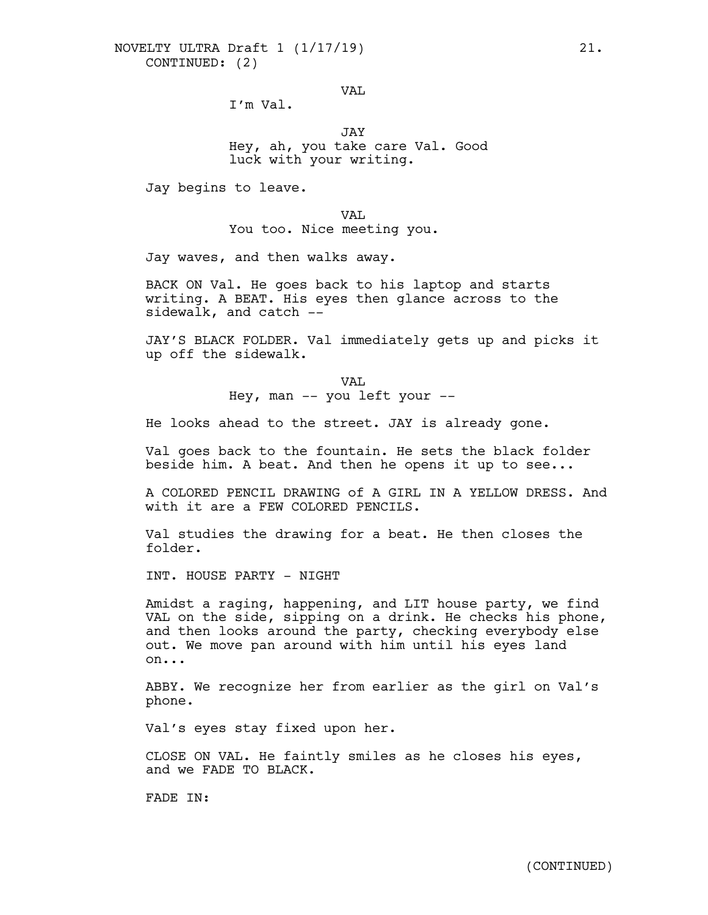VAL

I'm Val.

JAY Hey, ah, you take care Val. Good luck with your writing.

Jay begins to leave.

VAL You too. Nice meeting you.

Jay waves, and then walks away.

BACK ON Val. He goes back to his laptop and starts writing. A BEAT. His eyes then glance across to the sidewalk, and catch --

JAY'S BLACK FOLDER. Val immediately gets up and picks it up off the sidewalk.

> VAL Hey, man -- you left your --

He looks ahead to the street. JAY is already gone.

Val goes back to the fountain. He sets the black folder beside him. A beat. And then he opens it up to see...

A COLORED PENCIL DRAWING of A GIRL IN A YELLOW DRESS. And with it are a FEW COLORED PENCILS.

Val studies the drawing for a beat. He then closes the folder.

INT. HOUSE PARTY - NIGHT

Amidst a raging, happening, and LIT house party, we find<br>VAL on the side, sipping on a drink. He checks his phone, and then looks around the party, checking everybody else out. We move pan around with him until his eyes land on...

ABBY. We recognize her from earlier as the girl on Val's phone.

Val's eyes stay fixed upon her.

CLOSE ON VAL. He faintly smiles as he closes his eyes, and we FADE TO BLACK.

FADE IN: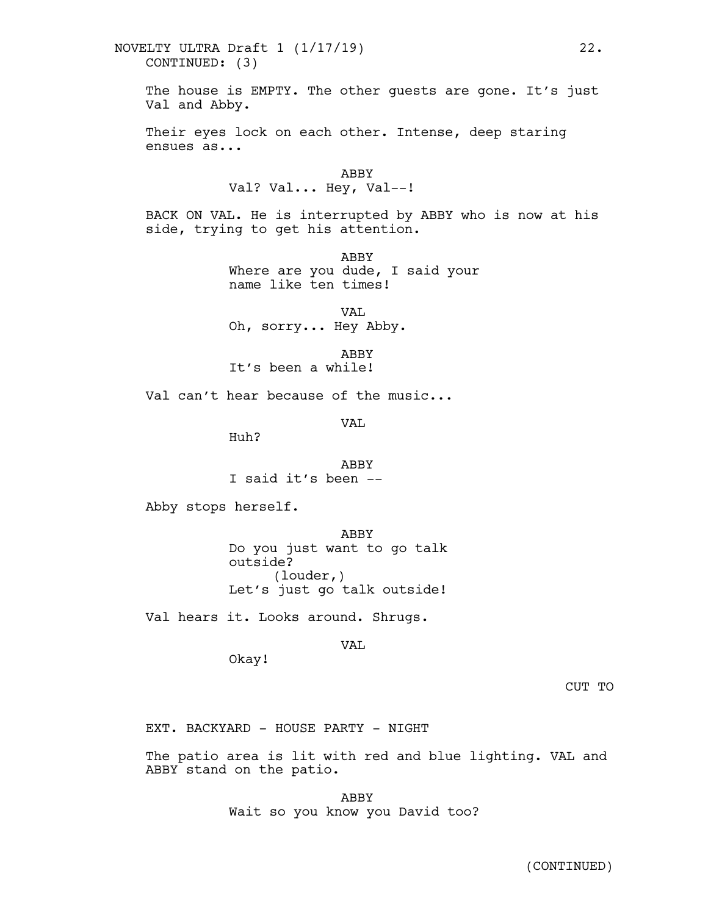## CONTINUED: (3) NOVELTY ULTRA Draft 1 (1/17/19) 22.

The house is EMPTY. The other quests are gone. It's just Val and Abby.

Their eyes lock on each other. Intense, deep staring ensues as...

> ABBY Val? Val... Hey, Val--!

BACK ON VAL. He is interrupted by ABBY who is now at his side, trying to get his attention.

> ABBY Where are you dude, I said your name like ten times!

VAL Oh, sorry... Hey Abby.

ABBY

It's been a while!

Val can't hear because of the music...

VAL

Huh?

ABBY I said it's been --

Abby stops herself.

ABBY Do you just want to go talk outside? (louder,) Let's just go talk outside!

Val hears it. Looks around. Shrugs.

VAL

Okay!

CUT TO

EXT. BACKYARD - HOUSE PARTY - NIGHT

The patio area is lit with red and blue lighting. VAL and ABBY stand on the patio.

> ABBY Wait so you know you David too?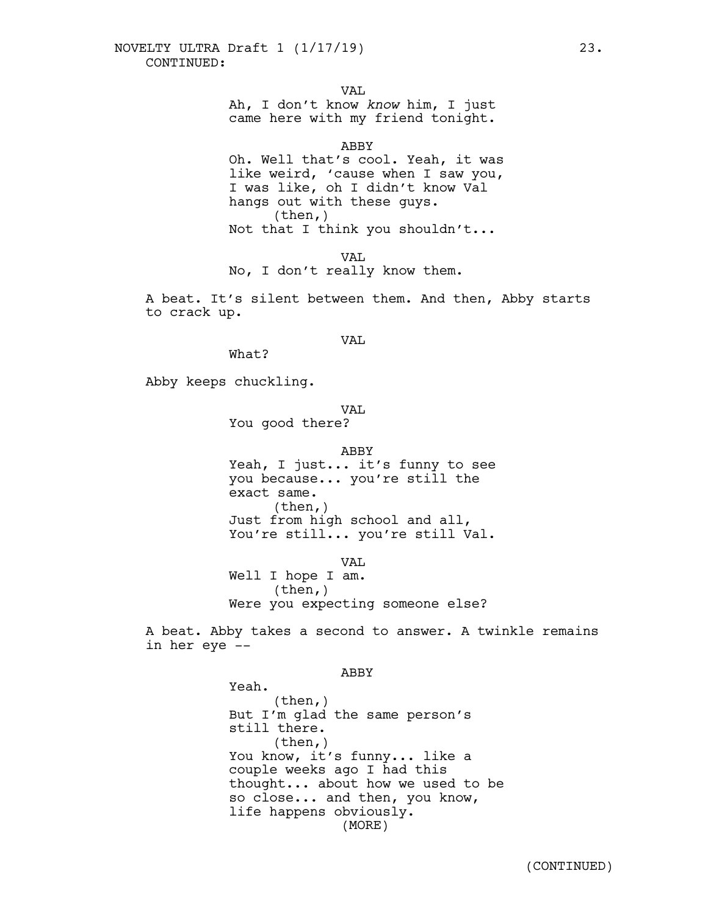VAL

Ah, I don't know *know* him, I just came here with my friend tonight.

ABBY

Oh. Well that's cool. Yeah, it was like weird, 'cause when I saw you, I was like, oh I didn't know Val hangs out with these guys.  $(then, )$ Not that I think you shouldn't...

VAL. No, I don't really know them.

A beat. It's silent between them. And then, Abby starts to crack up.

VAL.

What?

Abby keeps chuckling.

## VAL.

You good there?

#### ABBY

Yeah, I just... it's funny to see you because... you're still the exact same.<br>(then,)<br>Just from high school and all, You're still... you're still Val.

VA<sub>T</sub>

Well I hope I am.<br>(then,) Were you expecting someone else?

A beat. Abby takes a second to answer. A twinkle remains in her eye --

#### ABBY

Yeah. (then,) But I'm glad the same person's still there. (then,) You know, it's funny... like a couple weeks ago I had this thought... about how we used to be so close... and then, you know, life happens obviously. (MORE)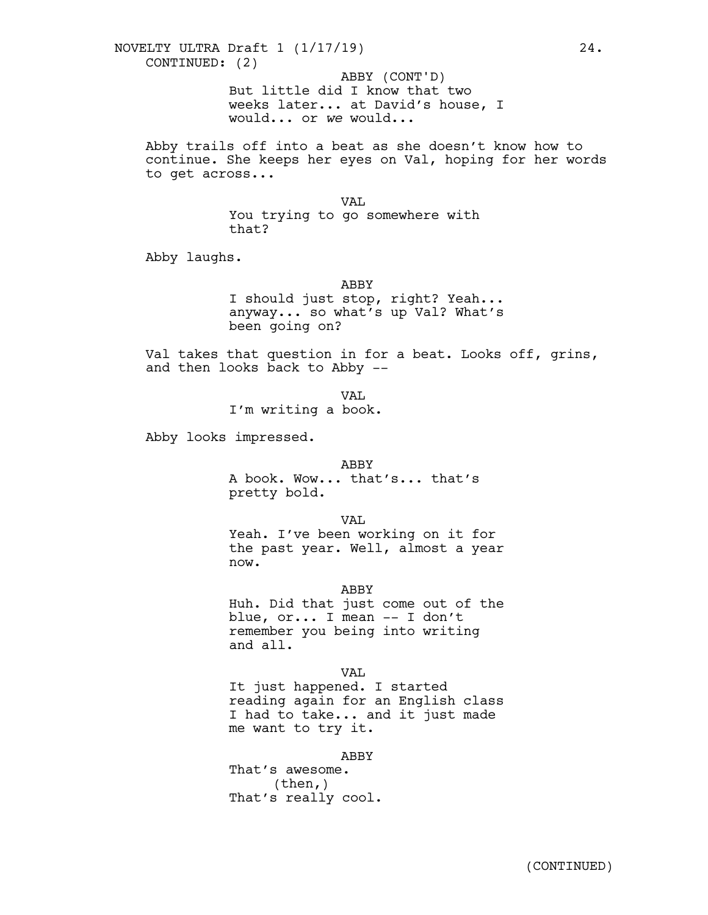But little did I know that two weeks later... at David's house, I would... or *we* would... ABBY (CONT'D)

Abby trails off into a beat as she doesn't know how to continue. She keeps her eyes on Val, hoping for her words to get across...

VAL

You trying to go somewhere with that?

Abby laughs.

#### ABBY

I should just stop, right? Yeah... anyway... so what's up Val? What's been going on?

Val takes that question in for a beat. Looks off, grins, and then looks back to Abby --

> VAL I'm writing a book.

Abby looks impressed.

## ABBY

A book. Wow... that's... that's pretty bold.

VAL

Yeah. I've been working on it for the past year. Well, almost a year now.

#### ABBY

Huh. Did that just come out of the blue, or... I mean -- I don't remember you being into writing and all.

VAL

It just happened. I started reading again for an English class I had to take... and it just made me want to try it.

ABBY

That's awesome. (then,) That's really cool.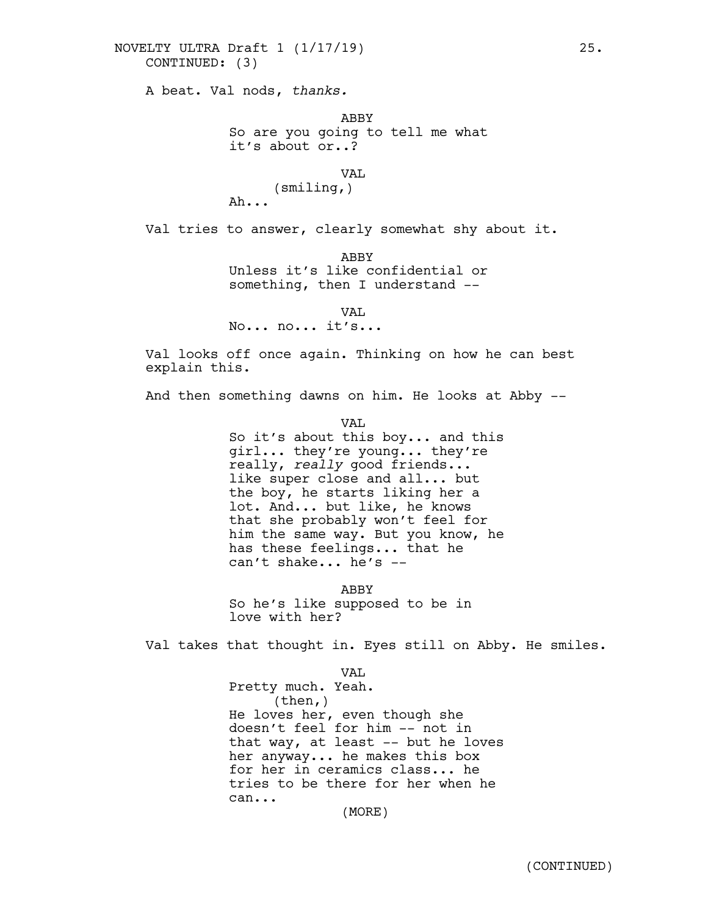## CONTINUED: (3) NOVELTY ULTRA Draft 1 (1/17/19) 25.

A beat. Val nods, *thanks.*

ABBY So are you going to tell me what it's about or..?

VAL

(smiling,) Ah...

Val tries to answer, clearly somewhat shy about it.

ABBY Unless it's like confidential or something, then I understand --

VAL

No... no... it's...

Val looks off once again. Thinking on how he can best explain this.

And then something dawns on him. He looks at Abby --

VAL

So it's about this boy... and this girl... they're young... they're really, *really* good friends... like super close and all... but the boy, he starts liking her a lot. And... but like, he knows that she probably won't feel for him the same way. But you know, he has these feelings... that he can't shake... he's --

ABBY So he's like supposed to be in love with her?

Val takes that thought in. Eyes still on Abby. He smiles.

VAL Pretty much. Yeah.<br>(then,) He loves her, even though she doesn't feel for him -- not in that way, at least -- but he loves her anyway... he makes this box for her in ceramics class... he tries to be there for her when he can...

(MORE)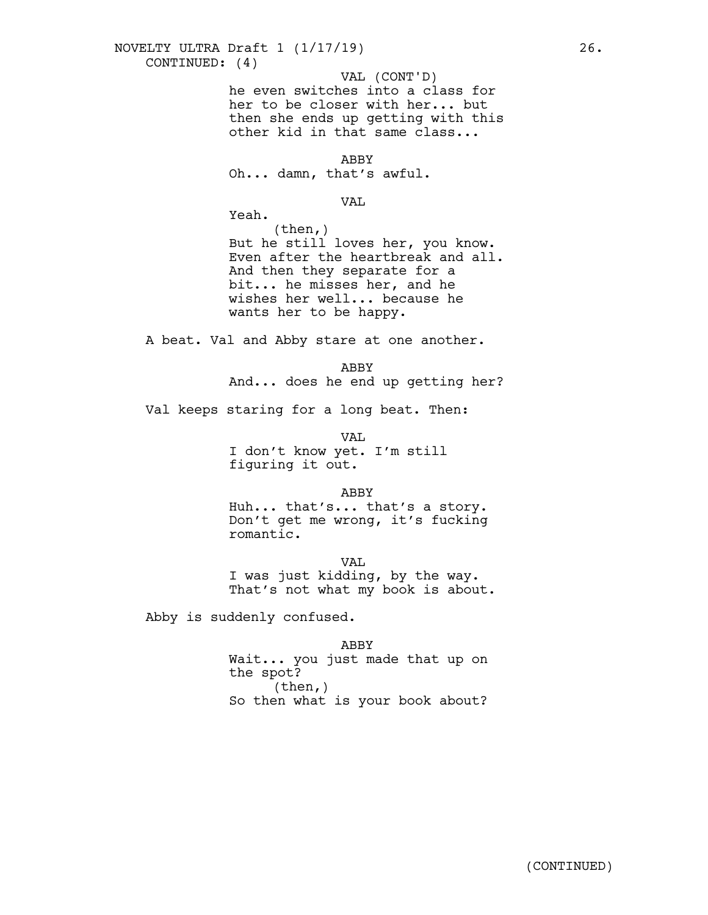## CONTINUED: (4) NOVELTY ULTRA Draft 1 (1/17/19) 26.

VAL (CONT'D)

he even switches into a class for her to be closer with her... but then she ends up getting with this other kid in that same class...

ABBY

Oh... damn, that's awful.

#### VAL

Yeah.

 $(then, )$ But he still loves her, you know. Even after the heartbreak and all. And then they separate for a bit... he misses her, and he wishes her well... because he wants her to be happy.

A beat. Val and Abby stare at one another.

ABBY And... does he end up getting her?

Val keeps staring for a long beat. Then:

VAL I don't know yet. I'm still figuring it out.

ABBY

Huh... that's... that's <sup>a</sup> story. Don't get me wrong, it's fucking romantic.

VAL. <sup>I</sup> was just kidding, by the way. That's not what my book is about.

Abby is suddenly confused.

ABBY

Wait... you just made that up on the spot?  $(then, )$ So then what is your book about?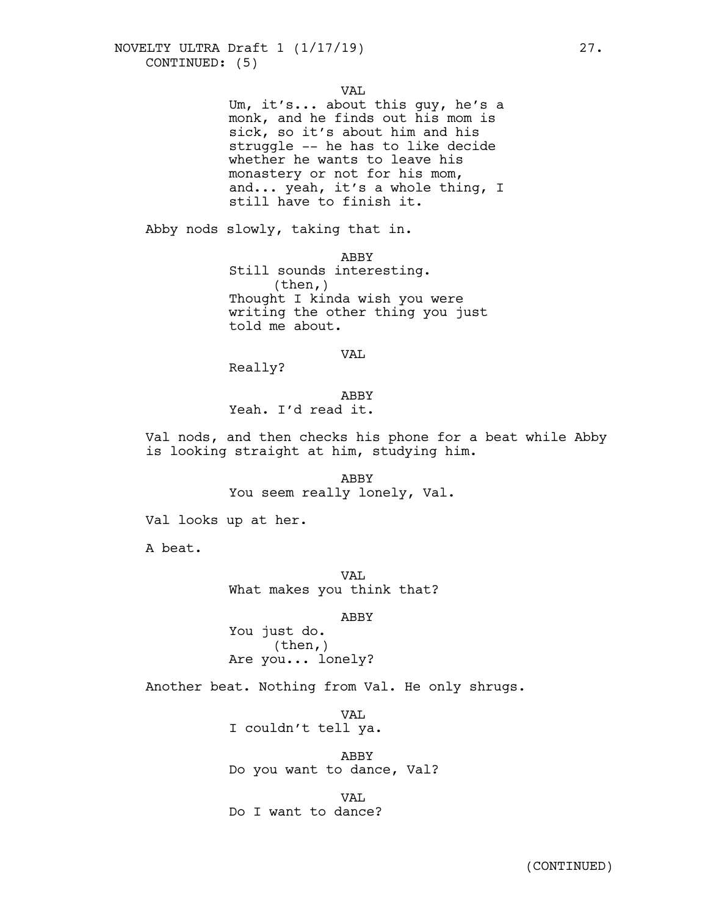VAL

Um, it's... about this guy, he's a monk, and he finds out his mom is sick, so it's about him and his struggle -- he has to like decide whether he wants to leave his monastery or not for his mom, and... yeah, it's a whole thing, I still have to finish it.

Abby nods slowly, taking that in.

ABBY Still sounds interesting. (then,) Thought I kinda wish you were writing the other thing you just told me about.

VAL

Really?

ABBY Yeah. I'd read it.

Val nods, and then checks his phone for a beat while Abby is looking straight at him, studying him.

> ABBY You seem really lonely, Val.

Val looks up at her.

A beat.

VAL What makes you think that?

ABBY

You just do.<br>(then,) Are you... lonely?

Another beat. Nothing from Val. He only shrugs.

VAL. I couldn't tell ya.

ABBY Do you want to dance, Val?

**VAL.** Do I want to dance?